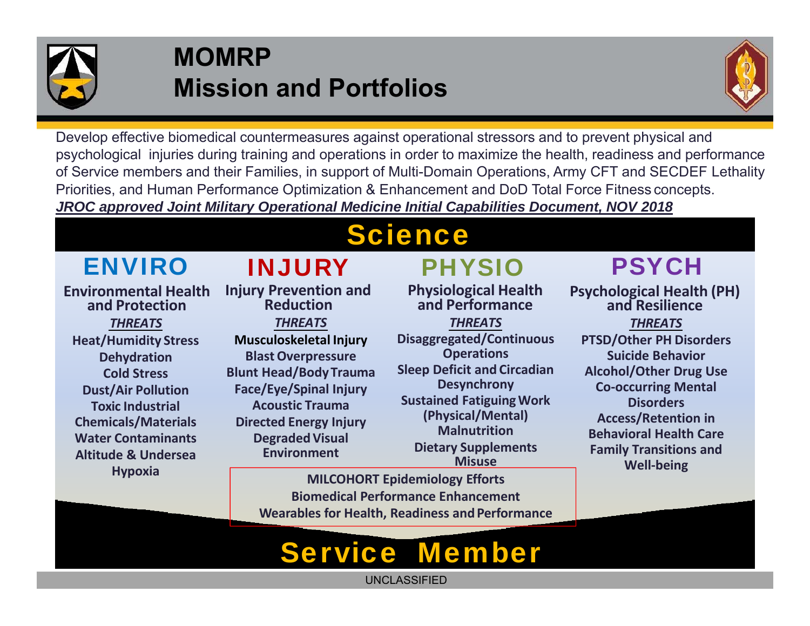

### **MOMRP Mission and Portfolios**



Develop effective biomedical countermeasures against operational stressors and to prevent physical and psychological injuries during training and operations in order to maximize the health, readiness and performance of Service members and their Families, in support of Multi-Domain Operations, Army CFT and SECDEF Lethality Priorities, and Human Performance Optimization & Enhancement and DoD Total Force Fitness concepts. *JROC approved Joint Military Operational Medicine Initial Capabilities Document, NOV 2018*

# **Science**

### ENVIRO

**Environmental Health and Protection** *THREATS***Heat/Humidity Stress Dehydration Cold Stress Dust/Air Pollution Toxic Industrial Chemicals/Materials Water ContaminantsAltitude & UnderseaHypoxia**

**Injury Prevention and Reduction***THREATS***Musculoskeletal Injury Blast Overpressure Blunt Head/Body Trauma Face/Eye/Spinal Injury** 

INJURY

**Acoustic Trauma Directed Energy Injury Degraded Visual Environment**

# PHYSIO

**Physiological Health and Performance**

*THREATS***Disaggregated/Continuous Operations Sleep Deficit and Circadian Desynchrony Sustained FatiguingWork (Physical/Mental) MalnutritionDietary Supplements Misuse**

#### **MILCOHORT Epidemiology Efforts Biomedical Performance Enhancement Wearables for Health, Readiness and Performance**

## PSYCH

**Psychological Health (PH) and Resilience** *THREATS***PTSD/Other PH Disorders Suicide Behavior Alcohol/Other Drug Use Co‐occurring Mental Disorders Access/Retention in Behavioral Health Care Family Transitions and Well‐being**

# Service Member

UNCLASSIFIED